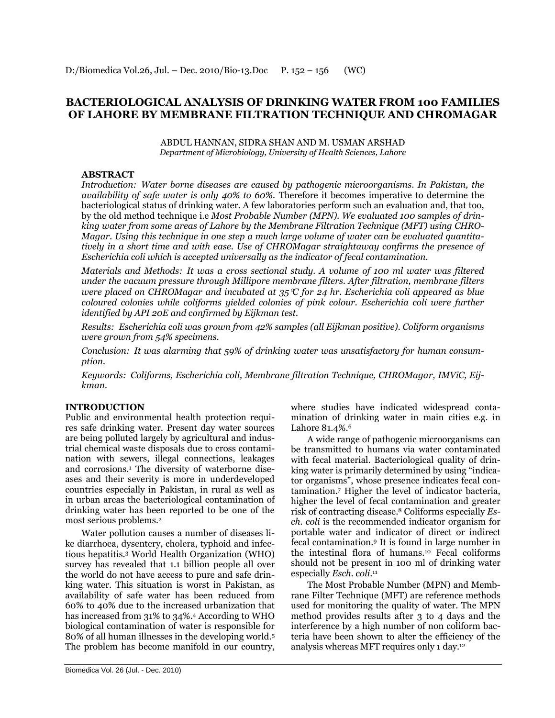# **BACTERIOLOGICAL ANALYSIS OF DRINKING WATER FROM 100 FAMILIES OF LAHORE BY MEMBRANE FILTRATION TECHNIQUE AND CHROMAGAR**

ABDUL HANNAN, SIDRA SHAN AND M. USMAN ARSHAD *Department of Microbiology, University of Health Sciences, Lahore*

# **ABSTRACT**

*Introduction: Water borne diseases are caused by pathogenic microorganisms. In Pakistan, the availability of safe water is only 40% to 60%.* Therefore it becomes imperative to determine the bacteriological status of drinking water. A few laboratories perform such an evaluation and, that too, by the old method technique i.e *Most Probable Number (MPN). We evaluated 100 samples of drinking water from some areas of Lahore by the Membrane Filtration Technique (MFT) using CHRO-Magar. Using this technique in one step a much large volume of water can be evaluated quantitatively in a short time and with ease. Use of CHROMagar straightaway confirms the presence of Escherichia coli which is accepted universally as the indicator of fecal contamination.*

*Materials and Methods: It was a cross sectional study. A volume of 100 ml water was filtered under the vacuum pressure through Millipore membrane filters. After filtration, membrane filters were placed on CHROMagar and incubated at 35C for 24 hr. Escherichia coli appeared as blue coloured colonies while coliforms yielded colonies of pink colour. Escherichia coli were further identified by API 20E and confirmed by Eijkman test.*

*Results: Escherichia coli was grown from 42% samples (all Eijkman positive). Coliform organisms were grown from 54% specimens.*

*Conclusion: It was alarming that 59% of drinking water was unsatisfactory for human consumption.*

*Keywords: Coliforms, Escherichia coli, Membrane filtration Technique, CHROMagar, IMViC, Eijkman.*

# **INTRODUCTION**

Public and environmental health protection requires safe drinking water. Present day water sources are being polluted largely by agricultural and industrial chemical waste disposals due to cross contamination with sewers, illegal connections, leakages and corrosions.<sup>1</sup> The diversity of waterborne diseases and their severity is more in underdeveloped countries especially in Pakistan, in rural as well as in urban areas the bacteriological contamination of drinking water has been reported to be one of the most serious problems. 2

Water pollution causes a number of diseases like diarrhoea, dysentery, cholera, typhoid and infectious hepatitis. <sup>3</sup> World Health Organization (WHO) survey has revealed that 1.1 billion people all over the world do not have access to pure and safe drinking water. This situation is worst in Pakistan, as availability of safe water has been reduced from 60% to 40% due to the increased urbanization that has increased from 31% to 34%. <sup>4</sup> According to WHO biological contamination of water is responsible for 80% of all human illnesses in the developing world.<sup>5</sup> The problem has become manifold in our country,

where studies have indicated widespread contamination of drinking water in main cities e.g. in Lahore 81.4%.<sup>6</sup>

A wide range of pathogenic microorganisms can be transmitted to humans via water contaminated with fecal material. Bacteriological quality of drinking water is primarily determined by using "indicator organisms‖, whose presence indicates fecal contamination. <sup>7</sup> Higher the level of indicator bacteria, higher the level of fecal contamination and greater risk of contracting disease. <sup>8</sup> Coliforms especially *Esch. coli* is the recommended indicator organism for portable water and indicator of direct or indirect fecal contamination.<sup>9</sup> It is found in large number in the intestinal flora of humans. <sup>10</sup> Fecal coliforms should not be present in 100 ml of drinking water especially *Esch. coli*. 11

The Most Probable Number (MPN) and Membrane Filter Technique (MFT) are reference methods used for monitoring the quality of water. The MPN method provides results after 3 to 4 days and the interference by a high number of non coliform bacteria have been shown to alter the efficiency of the analysis whereas MFT requires only 1 day. 12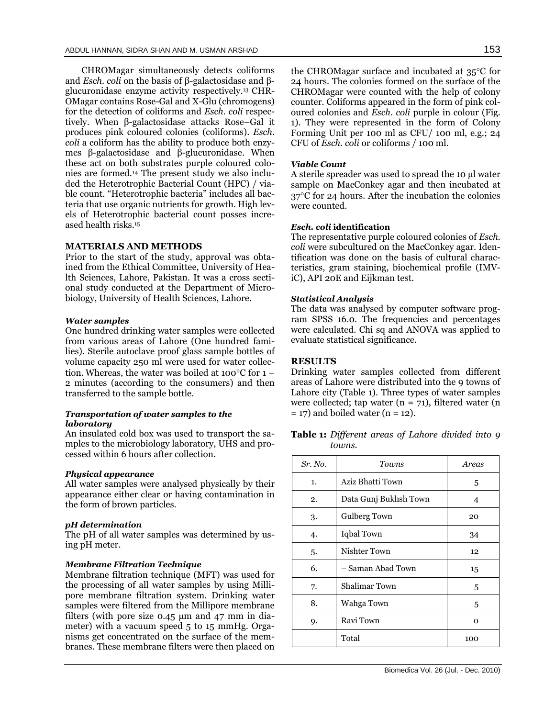CHROMagar simultaneously detects coliforms and *Esch. coli* on the basis of β-galactosidase and βglucuronidase enzyme activity respectively. <sup>13</sup> CHR-OMagar contains Rose-Gal and X-Glu (chromogens) for the detection of coliforms and *Esch. coli* respectively. When β-galactosidase attacks Rose–Gal it produces pink coloured colonies (coliforms). *Esch. coli* a coliform has the ability to produce both enzymes β-galactosidase and β-glucuronidase. When these act on both substrates purple coloured colonies are formed.<sup>14</sup> The present study we also included the Heterotrophic Bacterial Count (HPC) / viable count. "Heterotrophic bacteria" includes all bacteria that use organic nutrients for growth. High levels of Heterotrophic bacterial count posses increased health risks.<sup>15</sup>

#### **MATERIALS AND METHODS**

Prior to the start of the study, approval was obtained from the Ethical Committee, University of Health Sciences, Lahore, Pakistan. It was a cross sectional study conducted at the Department of Microbiology, University of Health Sciences, Lahore.

#### *Water samples*

One hundred drinking water samples were collected from various areas of Lahore (One hundred families). Sterile autoclave proof glass sample bottles of volume capacity 250 ml were used for water collection. Whereas, the water was boiled at 100 $\degree$ C for 1 – 2 minutes (according to the consumers) and then transferred to the sample bottle.

## *Transportation of water samples to the laboratory*

An insulated cold box was used to transport the samples to the microbiology laboratory, UHS and processed within 6 hours after collection.

#### *Physical appearance*

All water samples were analysed physically by their appearance either clear or having contamination in the form of brown particles.

## *pH determination*

The pH of all water samples was determined by using pH meter.

### *Membrane Filtration Technique*

Membrane filtration technique (MFT) was used for the processing of all water samples by using Millipore membrane filtration system. Drinking water samples were filtered from the Millipore membrane filters (with pore size 0.45 µm and 47 mm in diameter) with a vacuum speed 5 to 15 mmHg. Organisms get concentrated on the surface of the membranes. These membrane filters were then placed on

the CHROMagar surface and incubated at  $35^{\circ}$ C for 24 hours. The colonies formed on the surface of the CHROMagar were counted with the help of colony counter. Coliforms appeared in the form of pink coloured colonies and *Esch. coli* purple in colour (Fig. 1). They were represented in the form of Colony Forming Unit per 100 ml as CFU/ 100 ml, e.g.; 24 CFU of *Esch. coli* or coliforms / 100 ml.

#### *Viable Count*

A sterile spreader was used to spread the 10 µl water sample on MacConkey agar and then incubated at  $37^{\circ}$ C for 24 hours. After the incubation the colonies were counted.

### *Esch. coli* **identification**

The representative purple coloured colonies of *Esch. coli* were subcultured on the MacConkey agar. Identification was done on the basis of cultural characteristics, gram staining, biochemical profile (IMViC), API 20E and Eijkman test.

### *Statistical Analysis*

The data was analysed by computer software program SPSS 16.0. The frequencies and percentages were calculated. Chi sq and ANOVA was applied to evaluate statistical significance.

## **RESULTS**

Drinking water samples collected from different areas of Lahore were distributed into the 9 towns of Lahore city (Table 1). Three types of water samples were collected; tap water ( $n = 71$ ), filtered water ( $n = 71$ )  $= 17$ ) and boiled water (n  $= 12$ ).

**Table 1:** *Different areas of Lahore divided into 9 towns.*

| Sr. No. | Towns                 | Areas |
|---------|-----------------------|-------|
| 1.      | Aziz Bhatti Town      | 5     |
| 2.      | Data Gunj Bukhsh Town | 4     |
| 3.      | Gulberg Town          | 20    |
| 4.      | Iqbal Town            | 34    |
| 5.      | Nishter Town          | 12    |
| 6.      | - Saman Abad Town     | 15    |
| 7.      | <b>Shalimar Town</b>  | 5     |
| 8.      | Wahga Town            | 5     |
| 9.      | Ravi Town             | 0     |
|         | Total                 | 100   |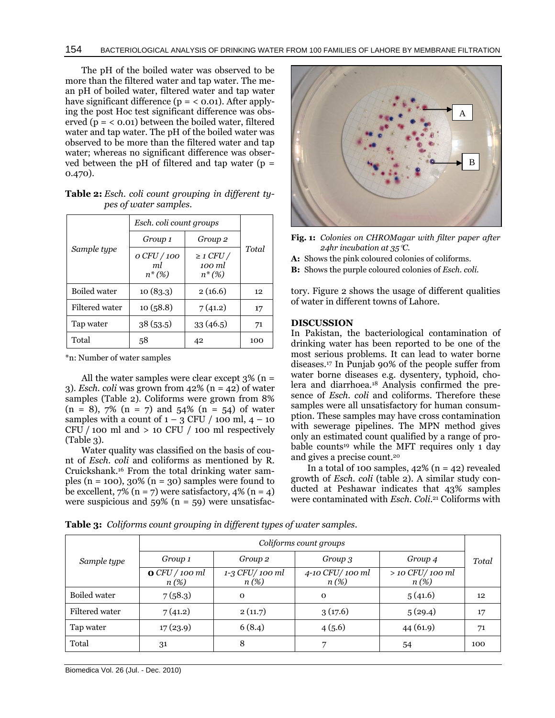The pH of the boiled water was observed to be more than the filtered water and tap water. The mean pH of boiled water, filtered water and tap water have significant difference ( $p = < 0.01$ ). After applying the post Hoc test significant difference was observed  $(p = < 0.01)$  between the boiled water, filtered water and tap water. The pH of the boiled water was observed to be more than the filtered water and tap water; whereas no significant difference was observed between the pH of filtered and tap water ( $p =$ 0.470).

|  |                       | <b>Table 2:</b> Esch. coli count grouping in different ty- |  |  |
|--|-----------------------|------------------------------------------------------------|--|--|
|  | pes of water samples. |                                                            |  |  |

|                     | Esch. coli count groups       |                                       |       |  |
|---------------------|-------------------------------|---------------------------------------|-------|--|
|                     | Group <sub>2</sub><br>Group 1 |                                       |       |  |
| Sample type         | o CFU / 100<br>ml<br>$n*(\%)$ | $\geq$ 1 CFU /<br>100 ml<br>$n^*(\%)$ | Total |  |
| <b>Boiled</b> water | 10(83.3)                      | 2(16.6)                               | 12    |  |
| Filtered water      | 10(58.8)                      | 7(41.2)                               | 17    |  |
| Tap water           | 38(53.5)                      | 33 (46.5)                             | 71    |  |
| Total               | 58                            | 42                                    | 100   |  |

\*n: Number of water samples

All the water samples were clear except  $3\%$  (n = 3). *Esch. coli* was grown from  $42\%$  (n =  $42$ ) of water samples (Table 2). Coliforms were grown from 8%  $(n = 8)$ , 7%  $(n = 7)$  and 54%  $(n = 54)$  of water samples with a count of  $1 - 3$  CFU / 100 ml,  $4 - 10$  $CFU / 100$  ml and  $> 10 CFU / 100$  ml respectively (Table 3).

Water quality was classified on the basis of count of *Esch. coli* and coliforms as mentioned by R. Cruickshank.<sup>16</sup> From the total drinking water samples (n = 100),  $30\%$  (n = 30) samples were found to be excellent,  $7\%$  (n = 7) were satisfactory,  $4\%$  (n = 4) were suspicious and  $59\%$  (n = 59) were unsatisfac-



- **Fig. 1:** *Colonies on CHROMagar with filter paper after 24hr incubation at 35C.*
- **A:** Shows the pink coloured colonies of coliforms.
- **B:** Shows the purple coloured colonies of *Esch. coli.*

tory. Figure 2 shows the usage of different qualities of water in different towns of Lahore.

# **DISCUSSION**

In Pakistan, the bacteriological contamination of drinking water has been reported to be one of the most serious problems. It can lead to water borne diseases.<sup>17</sup> In Punjab 90% of the people suffer from water borne diseases e.g. dysentery, typhoid, cholera and diarrhoea.<sup>18</sup> Analysis confirmed the presence of *Esch. coli* and coliforms. Therefore these samples were all unsatisfactory for human consumption. These samples may have cross contamination with sewerage pipelines. The MPN method gives only an estimated count qualified by a range of probable counts<sup>19</sup> while the MFT requires only 1 day and gives a precise count.<sup>20</sup>

In a total of 100 samples,  $42\%$  (n = 42) revealed growth of *Esch. coli* (table 2). A similar study conducted at Peshawar indicates that 43% samples were contaminated with *Esch. Coli*. <sup>21</sup> Coliforms with

**Table 3:** *Coliforms count grouping in different types of water samples.*

|                | Coliforms count groups |                           |                            |                              |       |
|----------------|------------------------|---------------------------|----------------------------|------------------------------|-------|
| Sample type    | Group 1                | Group <sub>2</sub>        | Group 3                    | Group 4                      | Total |
|                | OCFU/100 ml<br>$n(\%)$ | 1-3 CFU/100 ml<br>$n(\%)$ | 4-10 CFU/100 ml<br>$n(\%)$ | $>$ 10 CFU/100 ml<br>$n(\%)$ |       |
| Boiled water   | 7(58.3)                | $\mathbf 0$               | $\mathbf 0$                | 5(41.6)                      | 12    |
| Filtered water | 7(41.2)                | 2(11.7)                   | 3(17.6)                    | 5(29.4)                      | 17    |
| Tap water      | 17(23.9)               | 6(8.4)                    | 4(5.6)                     | 44(61.9)                     | 71    |
| Total          | 31                     | 8                         | ⇁                          | 54                           | 100   |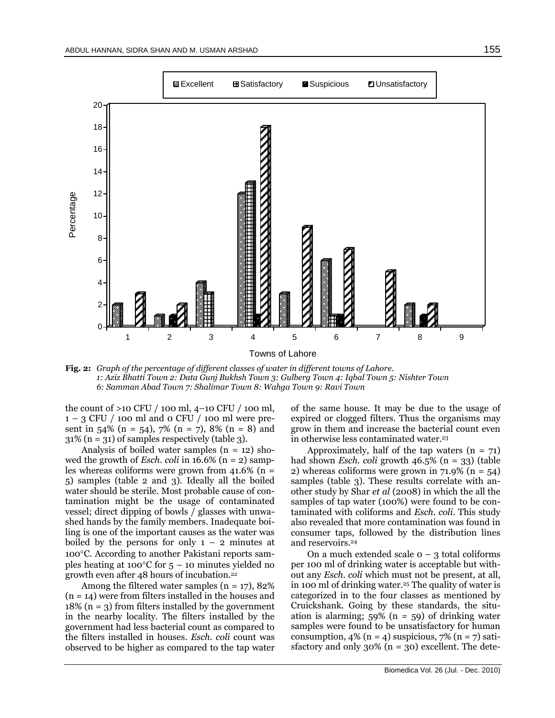

**Fig. 2:** *Graph of the percentage of different classes of water in different towns of Lahore. 1: Aziz Bhatti Town 2: Data Gunj Bukhsh Town 3: Gulberg Town 4: Iqbal Town 5: Nishter Town 6: Samman Abad Town 7: Shalimar Town 8: Wahga Town 9: Ravi Town*

the count of >10 CFU / 100 ml, 4–10 CFU / 100 ml,  $1 - 3$  CFU / 100 ml and 0 CFU / 100 ml were present in 54% (n = 54), 7% (n = 7), 8% (n = 8) and 31% (n = 31) of samples respectively (table 3).

Analysis of boiled water samples  $(n = 12)$  showed the growth of *Esch. coli* in 16.6% (n = 2) samples whereas coliforms were grown from  $41.6\%$  (n = 5) samples (table 2 and 3). Ideally all the boiled water should be sterile. Most probable cause of contamination might be the usage of contaminated vessel; direct dipping of bowls / glasses with unwashed hands by the family members. Inadequate boiling is one of the important causes as the water was boiled by the persons for only  $1 - 2$  minutes at 100°C. According to another Pakistani reports samples heating at 100 $\degree$ C for 5 – 10 minutes yielded no growth even after 48 hours of incubation.<sup>22</sup>

Among the filtered water samples  $(n = 17)$ , 82%  $(n = 14)$  were from filters installed in the houses and  $18\%$  (n = 3) from filters installed by the government in the nearby locality. The filters installed by the government had less bacterial count as compared to the filters installed in houses. *Esch. coli* count was observed to be higher as compared to the tap water

of the same house. It may be due to the usage of expired or clogged filters. Thus the organisms may grow in them and increase the bacterial count even in otherwise less contaminated water.<sup>23</sup>

Approximately, half of the tap waters  $(n = 71)$ had shown *Esch. coli* growth 46.5% (n = 33) (table 2) whereas coliforms were grown in  $71.9\%$  (n = 54) samples (table 3). These results correlate with another study by Shar *et al* (2008) in which the all the samples of tap water (100%) were found to be contaminated with coliforms and *Esch. coli*. This study also revealed that more contamination was found in consumer taps, followed by the distribution lines and reservoirs.<sup>24</sup>

On a much extended scale  $o - 3$  total coliforms per 100 ml of drinking water is acceptable but without any *Esch. coli* which must not be present, at all, in 100 ml of drinking water.<sup>25</sup> The quality of water is categorized in to the four classes as mentioned by Cruickshank. Going by these standards, the situation is alarming;  $59\%$  (n = 59) of drinking water samples were found to be unsatisfactory for human consumption,  $4\%$  (n = 4) suspicious,  $7\%$  (n = 7) satisfactory and only  $30\%$  (n = 30) excellent. The dete